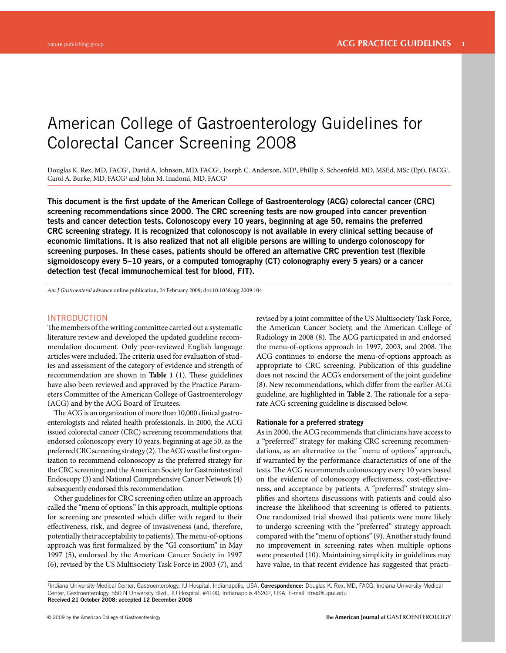# American College of Gastroenterology Guidelines for Colorectal Cancer Screening 2008

Douglas K. Rex, MD, FACG<sup>1</sup>, David A. Johnson, MD, FACG<sup>1</sup>, Joseph C. Anderson, MD<sup>1</sup>, Phillip S. Schoenfeld, MD, MSEd, MSc (Epi), FACG<sup>1</sup>, Carol A. Burke, MD, FACG<sup>1</sup> and John M. Inadomi, MD, FACG<sup>1</sup>

This document is the first update of the American College of Gastroenterology (ACG) colorectal cancer (CRC) **screening recommendations since 2000. The CRC screening tests are now grouped into cancer prevention tests and cancer detection tests. Colonoscopy every 10 years, beginning at age 50, remains the preferred CRC screening strategy. It is recognized that colonoscopy is not available in every clinical setting because of economic limitations. It is also realized that not all eligible persons are willing to undergo colonoscopy for**  screening purposes. In these cases, patients should be offered an alternative CRC prevention test (flexible **sigmoidoscopy every 5 – 10 years, or a computed tomography (CT) colonography every 5 years) or a cancer detection test (fecal immunochemical test for blood, FIT).**

*Am J Gastroenterol* advance online publication, 24 February 2009; doi: 10.1038/ajg.2009.104

# INTRODUCTION

The members of the writing committee carried out a systematic literature review and developed the updated guideline recommendation document. Only peer-reviewed English language articles were included. The criteria used for evaluation of studies and assessment of the category of evidence and strength of recommendation are shown in **Table 1** (1). These guidelines have also been reviewed and approved by the Practice Parameters Committee of the American College of Gastroenterology (ACG) and by the ACG Board of Trustees.

The ACG is an organization of more than 10,000 clinical gastroenterologists and related health professionals. In 2000, the ACG issued colorectal cancer (CRC) screening recommendations that endorsed colonoscopy every 10 years, beginning at age 50, as the preferred CRC screening strategy (2). The ACG was the first organization to recommend colonoscopy as the preferred strategy for the CRC screening; and the American Society for Gastrointestinal Endoscopy (3) and National Comprehensive Cancer Network (4) subsequently endorsed this recommendation.

Other guidelines for CRC screening often utilize an approach called the "menu of options." In this approach, multiple options for screening are presented which differ with regard to their effectiveness, risk, and degree of invasiveness (and, therefore, potentially their acceptability to patients). The menu-of-options approach was first formalized by the "GI consortium" in May 1997 (5) , endorsed by the American Cancer Society in 1997 (6), revised by the US Multisociety Task Force in 2003 (7), and

revised by a joint committee of the US Multisociety Task Force, the American Cancer Society, and the American College of Radiology in 2008 (8). The ACG participated in and endorsed the menu-of-options approach in 1997, 2003, and 2008. The ACG continues to endorse the menu-of-options approach as appropriate to CRC screening. Publication of this guideline does not rescind the ACG's endorsement of the joint guideline (8). New recommendations, which differ from the earlier ACG guideline, are highlighted in **Table 2**. The rationale for a separate ACG screening guideline is discussed below.

# **Rationale for a preferred strategy**

 As in 2000, the ACG recommends that clinicians have access to a "preferred" strategy for making CRC screening recommendations, as an alternative to the "menu of options" approach, if warranted by the performance characteristics of one of the tests. The ACG recommends colonoscopy every 10 years based on the evidence of colonoscopy effectiveness, cost-effectiveness, and acceptance by patients. A "preferred" strategy simplifies and shortens discussions with patients and could also increase the likelihood that screening is offered to patients. One randomized trial showed that patients were more likely to undergo screening with the "preferred" strategy approach compared with the "menu of options" (9). Another study found no improvement in screening rates when multiple options were presented (10). Maintaining simplicity in guidelines may have value, in that recent evidence has suggested that practi-

<sup>&</sup>lt;sup>1</sup>Indiana University Medical Center, Gastroenterology, IU Hospital, Indianapolis, USA. **Correspondence:** Douglas K. Rex, MD, FACG, Indiana University Medical Center, Gastroenterology, 550 N University Blvd., IU Hospital, #4100, Indianapolis 46202, USA. E-mail: drex@iupui.edu **Received 21 October 2008; accepted 12 December 2008**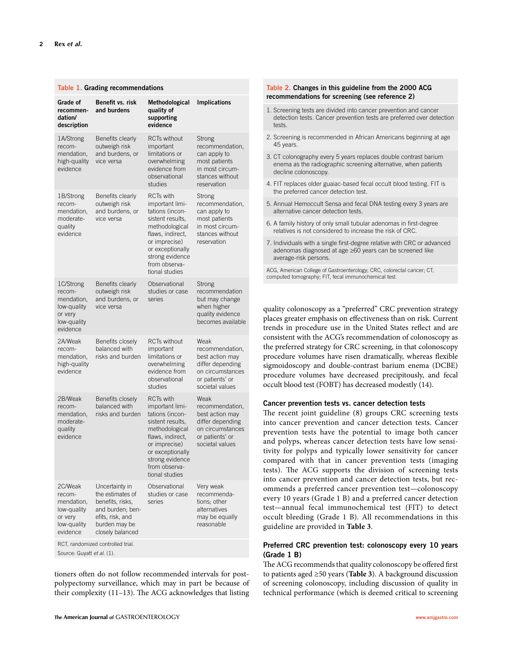| Table 1. Grading recommendations                                                       |                                                                                                                                                                          |                                                                                                                                                                                                             |                                                                                                                          |
|----------------------------------------------------------------------------------------|--------------------------------------------------------------------------------------------------------------------------------------------------------------------------|-------------------------------------------------------------------------------------------------------------------------------------------------------------------------------------------------------------|--------------------------------------------------------------------------------------------------------------------------|
| Grade of<br>recommen-<br>dation/<br>description                                        | Benefit vs. risk<br>and burdens                                                                                                                                          | Methodological<br>quality of<br>supporting<br>evidence                                                                                                                                                      | <b>Implications</b>                                                                                                      |
| 1A/Strong<br>recom-<br>mendation,<br>high-quality<br>evidence                          | Benefits clearly<br>outweigh risk<br>and burdens, or<br>vice versa                                                                                                       | <b>RCTs without</b><br>important<br>limitations or<br>overwhelming<br>evidence from<br>observational<br>studies                                                                                             | Strong<br>recommendation,<br>can apply to<br>most patients<br>in most circum-<br>stances without<br>reservation          |
| 1B/Strong<br>recom-<br>mendation,<br>moderate-<br>quality<br>evidence                  | Benefits clearly<br>outweigh risk<br>and burdens, or<br>vice versa                                                                                                       | <b>RCTs with</b><br>important limi-<br>tations (incon-<br>sistent results.<br>methodological<br>flaws, indirect,<br>or imprecise)<br>or exceptionally<br>strong evidence<br>from observa-<br>tional studies | Strong<br>recommendation,<br>can apply to<br>most patients<br>in most circum-<br>stances without<br>reservation          |
| 1C/Strong<br>recom-<br>mendation,<br>low-quality<br>or very<br>low-quality<br>evidence | Benefits clearly<br>outweigh risk<br>and burdens, or<br>vice versa                                                                                                       | Observational<br>studies or case<br>series                                                                                                                                                                  | Strong<br>recommendation<br>but may change<br>when higher<br>quality evidence<br>becomes available                       |
| 2A/Weak<br>recom-<br>mendation,<br>high-quality<br>evidence                            | Benefits closely<br>balanced with<br>risks and burden                                                                                                                    | <b>RCTs without</b><br>important<br>limitations or<br>overwhelming<br>evidence from<br>observational<br>studies                                                                                             | Weak<br>recommendation,<br>best action may<br>differ depending<br>on circumstances<br>or patients' or<br>societal values |
| 2B/Weak<br>recom-<br>mendation,<br>moderate-<br>quality<br>evidence                    | Benefits closely<br>balanced with<br>risks and burden                                                                                                                    | <b>RCTs with</b><br>important limi-<br>tations (incon-<br>sistent results.<br>methodological<br>flaws, indirect,<br>or imprecise)<br>or exceptionally<br>strong evidence<br>from observa-<br>tional studies | Weak<br>recommendation,<br>best action may<br>differ depending<br>on circumstances<br>or patients' or<br>societal values |
| 2C/Weak<br>recom-<br>mendation,<br>low-quality<br>or very<br>low-quality<br>evidence   | Uncertainty in<br>the estimates of<br>benefits, risks,<br>and burden; ben-<br>efits, risk, and<br>burden may be<br>closely balanced<br>RCT, randomized controlled trial. | Observational<br>studies or case<br>series                                                                                                                                                                  | Very weak<br>recommenda-<br>tions: other<br>alternatives<br>may be equally<br>reasonable                                 |
| Source: Guvatt et al. (1).                                                             |                                                                                                                                                                          |                                                                                                                                                                                                             |                                                                                                                          |

tioners often do not follow recommended intervals for postpolypectomy surveillance, which may in part be because of their complexity (11-13). The ACG acknowledges that listing

## **Table 2 . Changes in this guideline from the 2000 ACG**  recommendations for screening (see reference 2)

- 1. Screening tests are divided into cancer prevention and cancer detection tests. Cancer prevention tests are preferred over detection tests.
- 2. Screening is recommended in African Americans beginning at age 45 years.
- 3. CT colonography every 5 years replaces double contrast barium enema as the radiographic screening alternative, when patients decline colonoscopy.
- 4. FIT replaces older guaiac-based fecal occult blood testing. FIT is the preferred cancer detection test.
- 5. Annual Hemoccult Sensa and fecal DNA testing every 3 years are alternative cancer detection tests.
- 6. A family history of only small tubular adenomas in first-degree relatives is not considered to increase the risk of CRC.
- 7. Individuals with a single first-degree relative with CRC or advanced adenomas diagnosed at age ≥60 years can be screened like average-risk persons.

ACG, American College of Gastroenterology; CRC, colorectal cancer; CT, computed tomography; FIT, fecal immunochemical test.

quality colonoscopy as a "preferred" CRC prevention strategy places greater emphasis on effectiveness than on risk. Current trends in procedure use in the United States reflect and are consistent with the ACG's recommendation of colonoscopy as the preferred strategy for CRC screening, in that colonoscopy procedure volumes have risen dramatically, whereas flexible sigmoidoscopy and double-contrast barium enema (DCBE) procedure volumes have decreased precipitously, and fecal occult blood test (FOBT) has decreased modestly (14) .

# **Cancer prevention tests vs. cancer detection tests**

The recent joint guideline (8) groups CRC screening tests into cancer prevention and cancer detection tests. Cancer prevention tests have the potential to image both cancer and polyps, whereas cancer detection tests have low sensitivity for polyps and typically lower sensitivity for cancer compared with that in cancer prevention tests (imaging tests). The ACG supports the division of screening tests into cancer prevention and cancer detection tests, but recommends a preferred cancer prevention test-colonoscopy every 10 years (Grade 1 B) and a preferred cancer detection test — annual fecal immunochemical test (FIT) to detect occult bleeding (Grade 1 B). All recommendations in this guideline are provided in **Table 3** .

# **Preferred CRC prevention test: colonoscopy every 10 years (Grade 1 B)**

The ACG recommends that quality colonoscopy be offered first to patients aged ≥ 50 years ( **Table 3** ). A background discussion of screening colonoscopy, including discussion of quality in technical performance (which is deemed critical to screening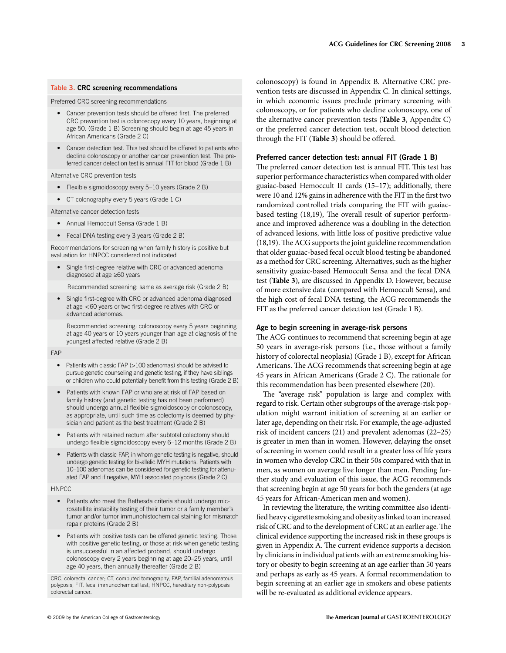# **Table 3 . CRC screening recommendations**

Preferred CRC screening recommendations

- Cancer prevention tests should be offered first. The preferred CRC prevention test is colonoscopy every 10 years, beginning at age 50. (Grade 1 B) Screening should begin at age 45 years in African Americans (Grade 2 C)
- Cancer detection test. This test should be offered to patients who decline colonoscopy or another cancer prevention test. The preferred cancer detection test is annual FIT for blood (Grade 1 B)

Alternative CRC prevention tests

- Flexible sigmoidoscopy every 5-10 years (Grade 2 B)
- CT colonography every 5 years (Grade 1 C)

Alternative cancer detection tests

- Annual Hemoccult Sensa (Grade 1 B)
- Fecal DNA testing every 3 years (Grade 2 B)

Recommendations for screening when family history is positive but evaluation for HNPCC considered not indicated

Single first-degree relative with CRC or advanced adenoma diagnosed at age ≥60 years

Recommended screening: same as average risk (Grade 2 B)

• Single first-degree with CRC or advanced adenoma diagnosed at age  $<$  60 years or two first-degree relatives with CRC or advanced adenomas.

 Recommended screening: colonoscopy every 5 years beginning at age 40 years or 10 years younger than age at diagnosis of the youngest affected relative (Grade 2 B)

#### FAP

- Patients with classic FAP (>100 adenomas) should be advised to pursue genetic counseling and genetic testing, if they have siblings or children who could potentially benefit from this testing (Grade 2 B)
- Patients with known FAP or who are at risk of FAP based on family history (and genetic testing has not been performed) should undergo annual flexible sigmoidoscopy or colonoscopy, as appropriate, until such time as colectomy is deemed by physician and patient as the best treatment (Grade 2 B)
- Patients with retained rectum after subtotal colectomy should undergo flexible sigmoidoscopy every 6-12 months (Grade 2 B)
- Patients with classic FAP, in whom genetic testing is negative, should undergo genetic testing for bi-allelic MYH mutations. Patients with 10-100 adenomas can be considered for genetic testing for attenuated FAP and if negative, MYH associated polyposis (Grade 2 C)

#### **HNPCC**

- Patients who meet the Bethesda criteria should undergo microsatellite instability testing of their tumor or a family member's tumor and/or tumor immunohistochemical staining for mismatch repair proteins (Grade 2 B)
- Patients with positive tests can be offered genetic testing. Those with positive genetic testing, or those at risk when genetic testing is unsuccessful in an affected proband, should undergo colonoscopy every 2 years beginning at age 20-25 years, until age 40 years, then annually thereafter (Grade 2 B)

CRC, colorectal cancer; CT, computed tomography, FAP, familial adenomatous polyposis; FIT, fecal immunochemical test; HNPCC, hereditary non-polyposis colorectal cancer.

colonoscopy) is found in Appendix B. Alternative CRC prevention tests are discussed in Appendix C. In clinical settings, in which economic issues preclude primary screening with colonoscopy, or for patients who decline colonoscopy, one of the alternative cancer prevention tests ( **Table 3** , Appendix C) or the preferred cancer detection test, occult blood detection through the FIT (**Table 3**) should be offered.

# **Preferred cancer detection test: annual FIT (Grade 1 B)**

The preferred cancer detection test is annual FIT. This test has superior performance characteristics when compared with older guaiac-based Hemoccult II cards (15-17); additionally, there were 10 and 12% gains in adherence with the FIT in the first two randomized controlled trials comparing the FIT with guaiacbased testing (18,19), The overall result of superior performance and improved adherence was a doubling in the detection of advanced lesions, with little loss of positive predictive value (18,19). The ACG supports the joint guideline recommendation that older guaiac-based fecal occult blood testing be abandoned as a method for CRC screening. Alternatives, such as the higher sensitivity guaiac-based Hemoccult Sensa and the fecal DNA test ( **Table 3** ), are discussed in Appendix D. However, because of more extensive data (compared with Hemoccult Sensa), and the high cost of fecal DNA testing, the ACG recommends the FIT as the preferred cancer detection test (Grade 1 B).

# **Age to begin screening in average-risk persons**

The ACG continues to recommend that screening begin at age 50 years in average-risk persons (i.e., those without a family history of colorectal neoplasia) (Grade 1 B), except for African Americans. The ACG recommends that screening begin at age 45 years in African Americans (Grade 2 C). The rationale for this recommendation has been presented elsewhere (20) .

The "average risk" population is large and complex with regard to risk. Certain other subgroups of the average-risk population might warrant initiation of screening at an earlier or later age, depending on their risk. For example, the age-adjusted risk of incident cancers  $(21)$  and prevalent adenomas  $(22-25)$ is greater in men than in women. However, delaying the onset of screening in women could result in a greater loss of life years in women who develop CRC in their 50s compared with that in men, as women on average live longer than men. Pending further study and evaluation of this issue, the ACG recommends that screening begin at age 50 years for both the genders (at age 45 years for African-American men and women).

 In reviewing the literature, the writing committee also identi fied heavy cigarette smoking and obesity as linked to an increased risk of CRC and to the development of CRC at an earlier age. The clinical evidence supporting the increased risk in these groups is given in Appendix A. The current evidence supports a decision by clinicians in individual patients with an extreme smoking history or obesity to begin screening at an age earlier than 50 years and perhaps as early as 45 years. A formal recommendation to begin screening at an earlier age in smokers and obese patients will be re-evaluated as additional evidence appears.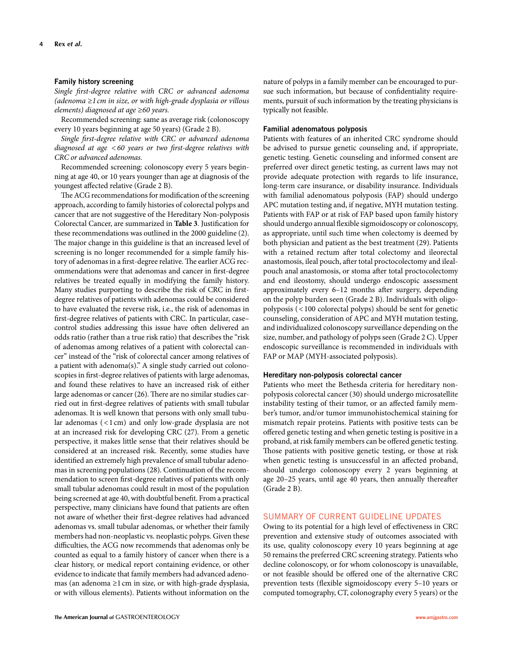# **Family history screening**

*Single first-degree relative with CRC or advanced adenoma (adenoma* ≥ *1 cm in size, or with high-grade dysplasia or villous elements) diagnosed at age* ≥60 years.

 Recommended screening: same as average risk (colonoscopy every 10 years beginning at age 50 years) (Grade 2 B).

*Single first-degree relative with CRC or advanced adenoma diagnosed at age <60 years or two first-degree relatives with CRC or advanced adenomas.*

 Recommended screening: colonoscopy every 5 years beginning at age 40, or 10 years younger than age at diagnosis of the youngest affected relative (Grade 2 B).

The ACG recommendations for modification of the screening approach, according to family histories of colorectal polyps and cancer that are not suggestive of the Hereditary Non-polyposis Colorectal Cancer, are summarized in **Table 3**. Justification for these recommendations was outlined in the 2000 guideline (2) . The major change in this guideline is that an increased level of screening is no longer recommended for a simple family history of adenomas in a first-degree relative. The earlier ACG recommendations were that adenomas and cancer in first-degree relatives be treated equally in modifying the family history. Many studies purporting to describe the risk of CRC in firstdegree relatives of patients with adenomas could be considered to have evaluated the reverse risk, i.e., the risk of adenomas in first-degree relatives of patients with CRC. In particular, casecontrol studies addressing this issue have often delivered an odds ratio (rather than a true risk ratio) that describes the "risk of adenomas among relatives of a patient with colorectal cancer" instead of the "risk of colorectal cancer among relatives of a patient with adenoma(s)." A single study carried out colonoscopies in first-degree relatives of patients with large adenomas, and found these relatives to have an increased risk of either large adenomas or cancer (26). There are no similar studies carried out in first-degree relatives of patients with small tubular adenomas. It is well known that persons with only small tubular adenomas ( < 1 cm) and only low-grade dysplasia are not at an increased risk for developing CRC (27) . From a genetic perspective, it makes little sense that their relatives should be considered at an increased risk. Recently, some studies have identified an extremely high prevalence of small tubular adenomas in screening populations (28) . Continuation of the recommendation to screen first-degree relatives of patients with only small tubular adenomas could result in most of the population being screened at age 40, with doubtful benefit. From a practical perspective, many clinicians have found that patients are often not aware of whether their first-degree relatives had advanced adenomas vs. small tubular adenomas, or whether their family members had non-neoplastic vs. neoplastic polyps. Given these difficulties, the ACG now recommends that adenomas only be counted as equal to a family history of cancer when there is a clear history, or medical report containing evidence, or other evidence to indicate that family members had advanced adenomas (an adenoma  $\geq 1$  cm in size, or with high-grade dysplasia, or with villous elements). Patients without information on the

nature of polyps in a family member can be encouraged to pursue such information, but because of confidentiality requirements, pursuit of such information by the treating physicians is typically not feasible.

#### **Familial adenomatous polyposis**

 Patients with features of an inherited CRC syndrome should be advised to pursue genetic counseling and, if appropriate, genetic testing. Genetic counseling and informed consent are preferred over direct genetic testing, as current laws may not provide adequate protection with regards to life insurance, long-term care insurance, or disability insurance. Individuals with familial adenomatous polyposis (FAP) should undergo APC mutation testing and, if negative, MYH mutation testing. Patients with FAP or at risk of FAP based upon family history should undergo annual flexible sigmoidoscopy or colonoscopy, as appropriate, until such time when colectomy is deemed by both physician and patient as the best treatment (29). Patients with a retained rectum after total colectomy and ileorectal anastomosis, ileal pouch, after total proctocolectomy and ilealpouch anal anastomosis, or stoma after total proctocolectomy and end ileostomy, should undergo endoscopic assessment approximately every 6-12 months after surgery, depending on the polyp burden seen (Grade 2 B). Individuals with oligopolyposis ( < 100 colorectal polyps) should be sent for genetic counseling, consideration of APC and MYH mutation testing, and individualized colonoscopy surveillance depending on the size, number, and pathology of polyps seen (Grade 2 C). Upper endoscopic surveillance is recommended in individuals with FAP or MAP (MYH-associated polyposis).

## **Hereditary non-polyposis colorectal cancer**

 Patients who meet the Bethesda criteria for hereditary nonpolyposis colorectal cancer (30) should undergo microsatellite instability testing of their tumor, or an affected family member's tumor, and/or tumor immunohistochemical staining for mismatch repair proteins. Patients with positive tests can be offered genetic testing and when genetic testing is positive in a proband, at risk family members can be offered genetic testing. Those patients with positive genetic testing, or those at risk when genetic testing is unsuccessful in an affected proband, should undergo colonoscopy every 2 years beginning at age 20-25 years, until age 40 years, then annually thereafter (Grade 2 B).

# SUMMARY OF CURRENT GUIDELINE UPDATES

Owing to its potential for a high level of effectiveness in CRC prevention and extensive study of outcomes associated with its use, quality colonoscopy every 10 years beginning at age 50 remains the preferred CRC screening strategy. Patients who decline colonoscopy, or for whom colonoscopy is unavailable, or not feasible should be offered one of the alternative CRC prevention tests (flexible sigmoidoscopy every 5-10 years or computed tomography, CT, colonography every 5 years) or the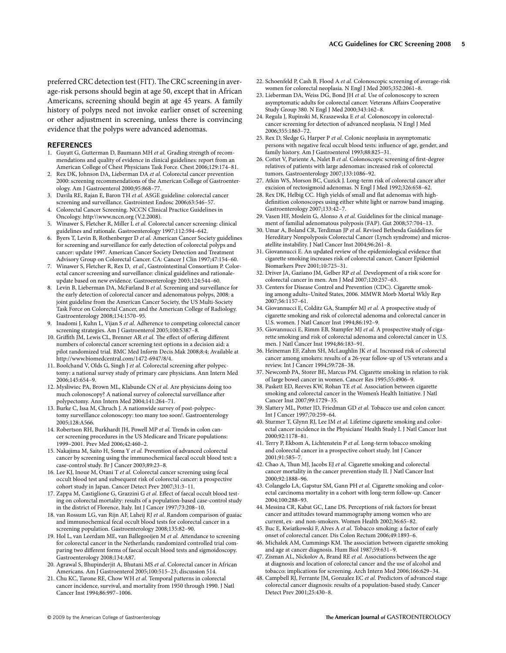preferred CRC detection test (FIT). The CRC screening in average-risk persons should begin at age 50, except that in African Americans, screening should begin at age 45 years. A family history of polyps need not invoke earlier onset of screening or other adjustment in screening, unless there is convincing evidence that the polyps were advanced adenomas.

#### **REFERENCES**

- 1. Guyatt G, Gutterman D, Baumann MH et al. Grading strength of recommendations and quality of evidence in clinical guidelines: report from an American College of Chest Physicians Task Force. Chest 2006;129:174-81.
- 2. Rex DK, Johnson DA, Lieberman DA et al. Colorectal cancer prevention 2000: screening recommendations of the American College of Gastroenterology. Am J Gastroenterol 2000;95:868-77.
- 3. Davila RE, Rajan E, Baron TH et al. ASGE guideline: colorectal cancer screening and surveillance. Gastrointest Endosc 2006;63:546-57.
- 4 . Colorectal Cancer Screening. NCCN Clinical Practice Guidelines in Oncology. http://www.nccn.org (V.2.2008).
- 5. Winawer S, Fletcher R, Miller L et al. Colorectal cancer screening: clinical guidelines and rationale. Gastroenterology 1997;112:594-642.
- 6. Byers T, Levin B, Rothenberger D et al. American Cancer Society guidelines for screening and surveillance for early detection of colorectal polyps and cancer: update 1997. American Cancer Society Detection and Treatment Advisory Group on Colorectal Cancer. CA: Cancer J Clin 1997;47:154-60.
- 7. Winawer S, Fletcher R, Rex D, et al., Gastrointestinal Consortium P. Colorectal cancer screening and surveillance: clinical guidelines and rationaleupdate based on new evidence. Gastroenterology 2003;124:544-60.
- 8. Levin B, Lieberman DA, McFarland B et al. Screening and surveillance for the early detection of colorectal cancer and adenomatous polyps, 2008: a joint guideline from the American Cancer Society, the US Multi-Society Task Force on Colorectal Cancer, and the American College of Radiology . Gastroenterology 2008;134:1570-95.
- 9. Inadomi J, Kuhn L, Vijan S et al. Adherence to competing colorectal cancer screening strategies. Am J Gastroenterol 2005;100:S387-8.
- 10. Griffith JM, Lewis CL, Brenner AR et al. The effect of offering different numbers of colorectal cancer screening test options in a decision aid: a pilot randomized trial. BMC Med Inform Decis Mak 2008;8:4; Available at http://www.biomedcentral.com/1472-6947/8/4 .
- 11. Boolchand V, Olds G, Singh J et al. Colorectal screening after polypectomy: a national survey study of primary care physicians . Ann Intern Med 2006:145:654-9.
- 12. Mysliwiec PA, Brown ML, Klabunde CN et al. Are physicians doing too much colonoscopy? A national survey of colorectal surveillance after polypectomy. Ann Intern Med 2004;141:264-71.
- 13. Burke C, Issa M, Chruch J. A nationwide survey of post-polypectomy surveillance colonoscopy: too many too soon!. Gastroenterology 2005:128:A566.
- 14. Robertson RH, Burkhardt JH, Powell MP et al. Trends in colon cancer screening procedures in the US Medicare and Tricare populations: 1999-2001. Prev Med 2006;42:460-2.
- 15. Nakajima M, Saito H, Soma Y et al. Prevention of advanced colorectal cancer by screening using the immunochemical faecal occult blood test: a case-control study. Br J Cancer 2003;89:23-8.
- 16. Lee KJ, Inoue M, Otani T et al. Colorectal cancer screening using fecal occult blood test and subsequent risk of colorectal cancer: a prospective cohort study in Japan. Cancer Detect Prev 2007;31:3-11.
- 17. Zappa M, Castiglione G, Grazzini G et al. Effect of faecal occult blood testing on colorectal mortality: results of a population-based case-control study in the district of Florence, Italy. Int J Cancer 1997;73:208-10.
- 18. van Rossum LG, van Rijn AF, Laheij RJ et al. Random comparison of guaiac and immunochemical fecal occult blood tests for colorectal cancer in a screening population. Gastroenterology 2008;135:82-90.
- 19. Hol L, van Leerdam ME, van Ballegooijen M et al. Attendance to screening for colorectal cancer in the Netherlands; randomized controlled trial comparing two different forms of faecal occult blood tests and sigmoidoscopy. Gastroenterology 2008;134:A87.
- 20. Agrawal S, Bhupinderjit A, Bhutani MS et al. Colorectal cancer in African Americans. Am J Gastroenterol 2005;100:515-23; discussion 514.
- 21. Chu KC, Tarone RE, Chow WH et al. Temporal patterns in colorectal cancer incidence, survival, and mortality from 1950 through 1990 . J Natl Cancer Inst 1994;86:997-1006.
- 22. Schoenfeld P, Cash B, Flood A et al. Colonoscopic screening of average-risk women for colorectal neoplasia. N Engl J Med 2005;352:2061-8.
- 23. Lieberman DA, Weiss DG, Bond JH et al. Use of colonoscopy to screen asymptomatic adults for colorectal cancer. Veterans Affairs Cooperative Study Group 380. N Engl J Med 2000;343:162-8.
- 24. Regula J, Rupinski M, Kraszewska E et al. Colonoscopy in colorectalcancer screening for detection of advanced neoplasia . N Engl J Med 2006 ; 355 : 1863 – 72 .
- 25. Rex D, Sledge G, Harper P et al. Colonic neoplasia in asymptomatic persons with negative fecal occult blood tests: influence of age, gender, and family history. Am J Gastroenterol 1993;88:825-31.
- 26. Cottet V, Pariente A, Nalet B et al. Colonoscopic screening of first-degree relatives of patients with large adenomas: increased risk of colorectal tumors. Gastroenterology 2007;133:1086-92.
- 27. Atkin WS, Morson BC, Cuzick J. Long-term risk of colorectal cancer after excision of rectosigmoid adenomas.  $\stackrel{\sim}{\rm N}$  Engl J Med 1992;326:658-62.
- 28. Rex DK, Helbig CC. High yields of small and flat adenomas with highdefinition colonoscopes using either white light or narrow band imaging. Gastroenterology 2007;133:42-7.
- 29. Vasen HF, Moslein G, Alonso A et al. Guidelines for the clinical management of familial adenomatous polyposis (FAP). Gut 2008;57:704-13.
- 30 . Umar A , Boland CR , Terdiman JP *et al.* Revised Bethesda Guidelines for Hereditary Nonpolyposis Colorectal Cancer (Lynch syndrome) and microsatellite instability. J Natl Cancer Inst 2004;96:261-8.
- 31. Giovannucci E. An updated review of the epidemiological evidence that cigarette smoking increases risk of colorectal cancer . Cancer Epidemiol Biomarkers Prev 2001;10:725-31.
- 32. Driver JA, Gaziano JM, Gelber RP et al. Development of a risk score for colorectal cancer in men. Am J Med 2007;120:257-63.
- 33 . Centers for Disease Control and Prevention (CDC) . Cigarette smoking among adults–United States, 2006 . MMWR Morb Mortal Wkly Rep 2007 ; 56 : 1157 – 61 .
- 34. Giovannucci E, Colditz GA, Stampfer MJ et al. A prospective study of cigarette smoking and risk of colorectal adenoma and colorectal cancer in U.S. women. J Natl Cancer Inst 1994;86:192-9.
- 35. Giovannucci E, Rimm EB, Stampfer MJ et al. A prospective study of cigarette smoking and risk of colorectal adenoma and colorectal cancer in U.S. men. J Natl Cancer Inst 1994;86:183-91.
- 36 . Heineman EF , Zahm SH , McLaughlin JK *et al.* Increased risk of colorectal cancer among smokers: results of a 26-year follow-up of US veterans and a review. Int J Cancer 1994;59:728-38.
- 37. Newcomb PA, Storer BE, Marcus PM. Cigarette smoking in relation to risk of large bowel cancer in women. Cancer Res 1995:55:4906-9.
- 38. Paskett ED, Reeves KW, Rohan TE et al. Association between cigarette smoking and colorectal cancer in the Women's Health Initiative . J Natl Cancer Inst 2007;99:1729-35.
- 39. Slattery ML, Potter JD, Friedman GD et al. Tobacco use and colon cancer. Int J Cancer 1997;70:259-64.
- 40. Sturmer T, Glynn RJ, Lee IM et al. Lifetime cigarette smoking and colorectal cancer incidence in the Physicians' Health Study I. J Natl Cancer Inst 2000 ; 92 : 1178 – 81 .
- 41. Terry P, Ekbom A, Lichtenstein P et al. Long-term tobacco smoking and colorectal cancer in a prospective cohort study . Int J Cancer 2001;91:585-7.
- 42. Chao A, Thun MJ, Jacobs EJ et al. Cigarette smoking and colorectal cancer mortality in the cancer prevention study II . J Natl Cancer Inst 2000;92:1888-96.
- 43. Colangelo LA, Gapstur SM, Gann PH et al. Cigarette smoking and colorectal carcinoma mortality in a cohort with long-term follow-up . Cancer 2004;100:288-93.
- 44. Messina CR, Kabat GC, Lane DS. Perceptions of risk factors for breast cancer and attitudes toward mammography among women who are current, ex- and non-smokers. Women Health 2002;36:65-82.
- 45. Buc E, Kwiatkowski F, Alves A et al. Tobacco smoking: a factor of early onset of colorectal cancer. Dis Colon Rectum 2006;49:1893-6.
- 46. Michalek AM, Cummings KM. The association between cigarette smoking and age at cancer diagnosis. Hum Biol 1987;59:631-9.
- 47. Zisman AL, Nickolov A, Brand RE et al. Associations between the age at diagnosis and location of colorectal cancer and the use of alcohol and tobacco: implications for screening. Arch Intern Med 2006;166:629-34.
- 48. Campbell RJ, Ferrante JM, Gonzalez EC et al. Predictors of advanced stage colorectal cancer diagnosis: results of a population-based study . Cancer Detect Prev 2001;25:430-8.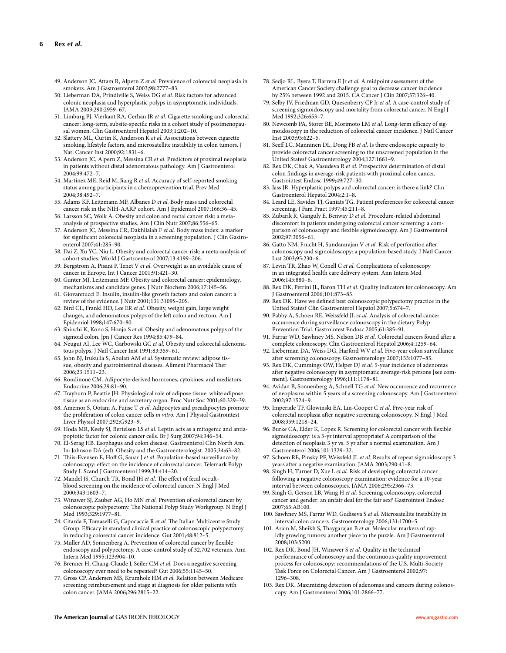- 49. Anderson JC, Attam R, Alpern Z et al. Prevalence of colorectal neoplasia in smokers. Am J Gastroenterol 2003;98:2777-83.
- 50. Lieberman DA, Prindiville S, Weiss DG et al. Risk factors for advanced colonic neoplasia and hyperplastic polyps in asymptomatic individuals . JAMA 2003;290:2959-67.
- 51. Limburg PJ, Vierkant RA, Cerhan JR et al. Cigarette smoking and colorectal cancer: long-term, subsite-specific risks in a cohort study of postmenopausal women. Clin Gastroenterol Hepatol 2003;1:202-10.
- 52. Slattery ML, Curtin K, Anderson K et al. Associations between cigarette smoking, lifestyle factors, and microsatellite instability in colon tumors . J Natl Cancer Inst 2000;92:1831-6.
- 53. Anderson JC, Alpern Z, Messina CR et al. Predictors of proximal neoplasia in patients without distal adenomatous pathology . Am J Gastroenterol 2004;99:472-7
- 54. Martinez ME, Reid M, Jiang R et al. Accuracy of self-reported smoking status among participants in a chemoprevention trial . Prev Med 2004:38:492-7.
- 55 . Adams KF , Leitzmann MF , Albanes D *et al.* Body mass and colorectal cancer risk in the NIH-AARP cohort. Am J Epidemiol 2007;166:36-45.
- 56. Larsson SC, Wolk A. Obesity and colon and rectal cancer risk: a metaanalysis of prospective studies. Am J Clin Nutr 2007;86:556-65.
- 57 . Anderson JC , Messina CR , Dakhllalah F *et al.* Body mass index: a marker for significant colorectal neoplasia in a screening population. J Clin Gastroenterol 2007;41:285-90.
- 58. Dai Z, Xu YC, Niu L. Obesity and colorectal cancer risk: a meta-analysis of cohort studies. World J Gastroenterol 2007;13:4199-206.
- 59. Bergstrom A, Pisani P, Tenet V et al. Overweight as an avoidable cause of cancer in Europe. Int J Cancer 2001;91:421-30.
- 60. Gunter MJ, Leitzmann MF. Obesity and colorectal cancer: epidemiology, mechanisms and candidate genes. J Nutr Biochem 2006;17:145-56.
- 61. Giovannucci E. Insulin, insulin-like growth factors and colon cancer: a review of the evidence. J Nutr 2001;131:3109S-20S.
- 62. Bird CL, Frankl HD, Lee ER et al. Obesity, weight gain, large weight changes, and adenomatous polyps of the left colon and rectum. Am J Epidemiol 1998;147:670-80.
- 63. Shinchi K, Kono S, Honjo S et al. Obesity and adenomatous polyps of the sigmoid colon. Jpn J Cancer Res 1994;85:479-84.
- 64. Neugut AI, Lee WC, Garbowski GC et al. Obesity and colorectal adenomatous polyps. J Natl Cancer Inst 1991;83:359-61.
- 65. John BJ, Irukulla S, Abulafi AM et al. Systematic review: adipose tissue, obesity and gastrointestinal diseases. Aliment Pharmacol Ther 2006 ; 23 : 1511 – 23 .
- 66 . Rondinone CM . Adipocyte-derived hormones, cytokines, and mediators . Endocrine 2006;29:81-90.
- 67. Trayhurn P, Beattie JH. Physiological role of adipose tissue: white adipose tissue as an endocrine and secretory organ. Proc Nutr Soc 2001;60:329-39.
- 68. Amemor S, Ootani A, Fujise T et al. Adipocytes and preadipocytes promote the proliferation of colon cancer cells *in vitro* . Am J Physiol Gastrointest Liver Physiol 2007;292:G923-9.
- 69. Hoda MR, Keely SJ, Bertelsen LS et al. Leptin acts as a mitogenic and antiapoptotic factor for colonic cancer cells. Br J Surg 2007;94:346-54.
- 70 . El-Serag HB . Esophagus and colon disease . Gastroenterol Clin North Am . In: Johnson DA (ed). Obesity and the Gastroenterologist. 2005;34:63-82.
- 71. Thiis-Evensen E, Hoff G, Sauar J et al. Population-based surveillance by colonoscopy: effect on the incidence of colorectal cancer. Telemark Polyp Study I. Scand J Gastroenterol 1999;34:414-20.
- 72. Mandel JS, Church TR, Bond JH et al. The effect of fecal occultblood screening on the incidence of colorectal cancer . N Engl J Med 2000;343:1603-7.
- 73. Winawer SJ, Zauber AG, Ho MN et al. Prevention of colorectal cancer by colonoscopic polypectomy. The National Polyp Study Workgroup. N Engl J Med 1993;329:1977-81.
- 74. Citarda F, Tomaselli G, Capocaccia R et al. The Italian Multicentre Study Group. Efficacy in standard clinical practice of colonoscopic polypectomy in reducing colorectal cancer incidence. Gut 2001;48:812-5.
- 75. Muller AD, Sonnenberg A. Prevention of colorectal cancer by flexible endoscopy and polypectomy. A case-control study of 32,702 veterans . Ann Intern Med 1995;123:904-10.
- 76. Brenner H, Chang-Claude J, Seiler CM et al. Does a negative screening colonoscopy ever need to be repeated? Gut 2006;55:1145-50.
- 77. Gross CP, Andersen MS, Krumholz HM et al. Relation between Medicare screening reimbursement and stage at diagnosis for older patients with colon cancer. JAMA 2006;296:2815-22.
- 78. Sedjo RL, Byers T, Barrera E Jr et al. A midpoint assessment of the American Cancer Society challenge goal to decrease cancer incidence by 25% between 1992 and 2015. CA Cancer J Clin 2007;57:326-40.
- 79. Selby JV, Friedman GD, Quesenberry CP Jr et al. A case-control study of screening sigmoidoscopy and mortality from colorectal cancer . N Engl J Med 1992;326:653-7.
- 80. Newcomb PA, Storer BE, Morimoto LM et al. Long-term efficacy of sigmoidoscopy in the reduction of colorectal cancer incidence . J Natl Cancer Inst 2003;95:622-5.
- 81. Seeff LC, Manninen DL, Dong FB et al. Is there endoscopic capacity to provide colorectal cancer screening to the unscreened population in the United States? Gastroenterology 2004;127:1661-9.
- 82. Rex DK, Chak A, Vasudeva R et al. Prospective determination of distal colon findings in average-risk patients with proximal colon cancer. Gastrointest Endosc 1999;49:727-30.
- 83 . Jass JR . Hyperplastic polyps and colorectal cancer: is there a link? Clin Gastroenterol Hepatol 2004;2:1-8.
- 84. Leard LE, Savides TJ, Ganiats TG. Patient preferences for colorectal cancer screening. J Fam Pract 1997;45:211-8.
- 85. Zubarik R, Ganguly E, Benway D et al. Procedure-related abdominal discomfort in patients undergoing colorectal cancer screening: a comparison of colonoscopy and flexible sigmoidoscopy. Am J Gastroenterol 2002;97:3056-61.
- 86. Gatto NM, Frucht H, Sundararajan V et al. Risk of perforation after colonoscopy and sigmoidoscopy: a population-based study . J Natl Cancer Inst 2003;95:230-6.
- 87. Levin TR, Zhao W, Conell C et al. Complications of colonoscopy in an integrated health care delivery system . Ann Intern Med 2006;145:880-6.
- 88. Rex DK, Petrini JL, Baron TH et al. Quality indicators for colonoscopy. Am J Gastroenterol 2006 ; 101 : 873 – 85 .
- 89. Rex DK. Have we defined best colonoscopic polypectomy practice in the United States? Clin Gastroenterol Hepatol 2007;5:674-7
- 90. Pabby A, Schoen RE, Weissfeld JL et al. Analysis of colorectal cancer occurrence during surveillance colonoscopy in the dietary Polyp Prevention Trial. Gastrointest Endosc 2005;61:385-91.
- 91. Farrar WD, Sawhney MS, Nelson DB et al. Colorectal cancers found after a complete colonoscopy. Clin Gastroenterol Hepatol 2006;4:1259-64.
- 92. Lieberman DA, Weiss DG, Harford WV et al. Five-year colon surveillance after screening colonoscopy. Gastroenterology 2007;133:1077-85.
- 93. Rex DK, Cummings OW, Helper DJ et al. 5-year incidence of adenomas after negative colonoscopy in asymptomatic average-risk persons [see comment]. Gastroenterology 1996;111:1178-81.
- 94. Avidan B, Sonnenberg A, Schnell TG et al. New occurrence and recurrence of neoplasms within 5 years of a screening colonoscopy . Am J Gastroenterol 2002;97:1524-9.
- 95. Imperiale TF, Glowinski EA, Lin-Cooper C et al. Five-year risk of colorectal neoplasia after negative screening colonoscopy. N Engl J Med 2008 ; 359 : 1218 – 24 .
- 96. Burke CA, Elder K, Lopez R. Screening for colorectal cancer with flexible sigmoidoscopy: is a 5-yr interval appropriate? A comparison of the detection of neoplasia 3 yr vs. 5 yr after a normal examination. Am J Gastroenterol 2006;101:1329-32.
- 97. Schoen RE, Pinsky PF, Weissfeld JL et al. Results of repeat sigmoidoscopy 3 years after a negative examination. JAMA 2003;290:41–8.
- 98. Singh H, Turner D, Xue L et al. Risk of developing colorectal cancer following a negative colonoscopy examination: evidence for a 10-year interval between colonoscopies. JAMA 2006;295:2366-73.
- 99. Singh G, Gerson LB, Wang H et al. Screening colonoscopy, colorectal cancer and gender: an unfair deal for the fair sex? Gastrointest Endosc 2007;65:AB100.
- 100. Sawhney MS, Farrar WD, Gudiseva S et al. Microsatellite instability in interval colon cancers. Gastroenterology 2006;131:1700-5.
- 101. Arain M, Sheikh S, Thaygarajan B et al. Molecular markers of rapidly growing tumors: another piece to the puzzle . Am J Gastroenterol 2008 ; 103 : S200 .
- 102. Rex DK, Bond JH, Winawer S et al. Quality in the technical performance of colonoscopy and the continuous quality improvement process for colonoscopy: recommendations of the U.S. Multi-Society Task Force on Colorectal Cancer. Am J Gastroenterol 2002;97: 1296 – 308.
- 103. Rex DK. Maximizing detection of adenomas and cancers during colonoscopy. Am J Gastroenterol 2006;101:2866-77.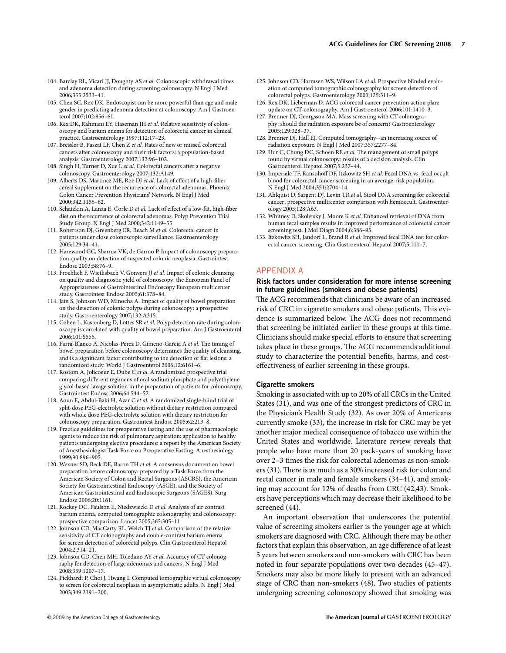- 104. Barclay RL, Vicari JJ, Doughty AS et al. Colonoscopic withdrawal times and adenoma detection during screening colonoscopy . N Engl J Med 2006 ; 355 : 2533 – 41 .
- 105. Chen SC, Rex DK. Endoscopist can be more powerful than age and male gender in predicting adenoma detection at colonoscopy . Am J Gastroenterol 2007;102:856-61.
- 106. Rex DK, Rahmani EY, Haseman JH et al. Relative sensitivity of colonoscopy and barium enema for detection of colorectal cancer in clinical practice. Gastroenterology 1997;112:17-23.
- 107. Bressler B, Paszat LF, Chen Z et al. Rates of new or missed colorectal cancers after colonoscopy and their risk factors: a population-based analysis. Gastroenterology 2007;132:96-102.
- 108. Singh H, Turner D, Xue L et al. Colorectal cancers after a negative colonoscopy. Gastroenterology 2007;132:A149.
- 109. Alberts DS, Martinez ME, Roe DJ et al. Lack of effect of a high-fiber cereal supplement on the recurrence of colorectal adenomas. Phoenix Colon Cancer Prevention Physicians' Network. N Engl J Med 2000:342:1156-62.
- 110. Schatzkin A, Lanza E, Corle D et al. Lack of effect of a low-fat, high-fiber diet on the recurrence of colorectal adenomas. Polyp Prevention Trial Study Group. N Engl J Med 2000;342:1149-55.
- 111. Robertson DJ, Greenberg ER, Beach M et al. Colorectal cancer in patients under close colonoscopic surveillance . Gastroenterology 2005 ; 129 : 34 – 41 .
- 112. Harewood GC, Sharma VK, de Garmo P. Impact of colonoscopy preparation quality on detection of suspected colonic neoplasia . Gastrointest Endosc 2003;58:76-9.
- 113. Froehlich F, Wietlisbach V, Gonvers JJ et al. Impact of colonic cleansing on quality and diagnostic yield of colonoscopy: the European Panel of Appropriateness of Gastrointestinal Endoscopy European multicenter study. Gastrointest Endosc 2005:61:378-84.
- 114. Jain S, Johnson WD, Minocha A. Impact of quality of bowel preparation on the detection of colonic polyps during colonoscopy: a prospective study. Gastroenterology 2007;132:A315.
- 115. Cohen L, Kastenberg D, Lottes SR et al. Polyp detection rate during colonoscopy is correlated with quality of bowel preparation . Am J Gastroenterol 2006;101:S556.
- 116. Parra-Blanco A, Nicolas-Perez D, Gimeno-Garcia A et al. The timing of bowel preparation before colonoscopy determines the quality of cleansing, and is a significant factor contributing to the detection of flat lesions: a randomized study. World J Gastroenterol 2006;12:6161-6.
- 117. Rostom A, Jolicoeur E, Dube C et al. A randomized prospective trial comparing different regimens of oral sodium phosphate and polyethylene glycol-based lavage solution in the preparation of patients for colonoscopy . Gastrointest Endosc 2006;64:544-52.
- 118. Aoun E, Abdul-Baki H, Azar C et al. A randomized single-blind trial of split-dose PEG-electrolyte solution without dietary restriction compared with whole dose PEG-electrolyte solution with dietary restriction for colonoscopy preparation. Gastrointest Endosc 2005;62:213-8.
- 119 . Practice guidelines for preoperative fasting and the use of pharmacologic agents to reduce the risk of pulmonary aspiration: application to healthy patients undergoing elective procedures: a report by the American Society of Anesthesiologist Task Force on Preoperative Fasting. Anesthesiology 1999;90:896-905.
- 120. Wexner SD, Beck DE, Baron TH et al. A consensus document on bowel preparation before colonoscopy: prepared by a Task Force from the American Society of Colon and Rectal Surgeons (ASCRS), the American Society for Gastrointestinal Endoscopy (ASGE), and the Society of American Gastrointestinal and Endoscopic Surgeons (SAGES). Surg Endosc 2006;20:1161.
- 121. Rockey DC, Paulson E, Niedzwiecki D et al. Analysis of air contrast barium enema, computed tomographic colonography, and colonoscopy: prospective comparison. Lancet 2005;365:305-11.
- 122. Johnson CD, MacCarty RL, Welch TJ et al. Comparison of the relative sensitivity of CT colonography and double-contrast barium enema for screen detection of colorectal polyps . Clin Gastroenterol Hepatol 2004;2:314-21.
- 123. Johnson CD, Chen MH, Toledano AY et al. Accuracy of CT colonography for detection of large adenomas and cancers . N Engl J Med 2008 ; 359 : 1207 – 17 .
- 124. Pickhardt P, Choi J, Hwang I. Computed tomographic virtual colonoscopy to screen for colorectal neoplasia in asymptomatic adults . N Engl J Med 2003;349:2191-200.
- 125. Johnson CD, Harmsen WS, Wilson LA et al. Prospective blinded evaluation of computed tomographic colonography for screen detection of colorectal polyps. Gastroenterology 2003;125:311-9.
- 126. Rex DK, Lieberman D. ACG colorectal cancer prevention action plan: update on CT-colonography. Am J Gastroenterol 2006;101:1410-3.
- 127. Brenner DJ, Georgsson MA. Mass screening with CT colonography: should the radiation exposure be of concern? Gastroenterology 2005 ; 129 : 328 – 37 .
- 128. Brenner DJ, Hall EJ. Computed tomography--an increasing source of radiation exposure. N Engl J Med 2007;357:2277-84.
- 129. Hur C, Chung DC, Schoen RE et al. The management of small polyps found by virtual colonoscopy: results of a decision analysis . Clin Gastroenterol Hepatol 2007;5:237-44.
- 130. Imperiale TF, Ransohoff DF, Itzkowitz SH et al. Fecal DNA vs. fecal occult blood for colorectal-cancer screening in an average-risk population. N Engl J Med 2004;351:2704-14.
- 131. Ahlquist D, Sargent DJ, Levin TR et al. Stool DNA screening for colorectal cancer: prospective multicenter comparison with hemoccult. Gastroenterology 2005;128:A63.
- 132. Whitney D, Skoletsky J, Moore K et al. Enhanced retrieval of DNA from human fecal samples results in improved performance of colorectal cancer screening test. J Mol Diagn 2004;6:386-95.
- 133. Itzkowitz SH, Jandorf L, Brand R et al. Improved fecal DNA test for colorectal cancer screening. Clin Gastroenterol Hepatol 2007;5:111-7.

# APPENDIX A

# **Risk factors under consideration for more intense screening in future guidelines (smokers and obese patients)**

The ACG recommends that clinicians be aware of an increased risk of CRC in cigarette smokers and obese patients. This evidence is summarized below. The ACG does not recommend that screening be initiated earlier in these groups at this time. Clinicians should make special efforts to ensure that screening takes place in these groups. The ACG recommends additional study to characterize the potential benefits, harms, and costeffectiveness of earlier screening in these groups.

#### **Cigarette smokers**

Smoking is associated with up to 20% of all CRCs in the United States (31), and was one of the strongest predictors of CRC in the Physician's Health Study (32). As over 20% of Americans currently smoke (33), the increase in risk for CRC may be yet another major medical consequence of tobacco use within the United States and worldwide. Literature review reveals that people who have more than 20 pack-years of smoking have over 2-3 times the risk for colorectal adenomas as non-smokers (31). There is as much as a 30% increased risk for colon and rectal cancer in male and female smokers (34–41), and smoking may account for 12% of deaths from CRC (42,43). Smokers have perceptions which may decrease their likelihood to be screened (44).

 An important observation that underscores the potential value of screening smokers earlier is the younger age at which smokers are diagnosed with CRC. Although there may be other factors that explain this observation, an age difference of at least 5 years between smokers and non-smokers with CRC has been noted in four separate populations over two decades (45–47). Smokers may also be more likely to present with an advanced stage of CRC than non-smokers (48) . Two studies of patients undergoing screening colonoscopy showed that smoking was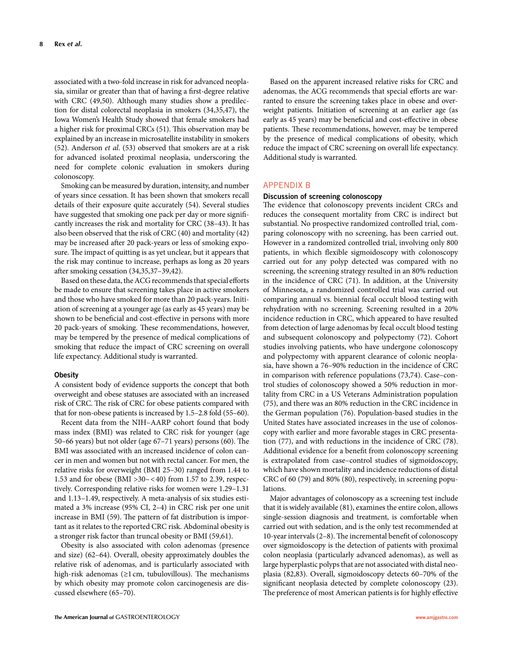associated with a two-fold increase in risk for advanced neoplasia, similar or greater than that of having a first-degree relative with CRC (49,50). Although many studies show a predilection for distal colorectal neoplasia in smokers (34,35,47) , the Iowa Women's Health Study showed that female smokers had a higher risk for proximal CRCs (51). This observation may be explained by an increase in microsatellite instability in smokers (52) . Anderson *et al* . (53) observed that smokers are at a risk for advanced isolated proximal neoplasia, underscoring the need for complete colonic evaluation in smokers during colonoscopy.

 Smoking can be measured by duration, intensity, and number of years since cessation. It has been shown that smokers recall details of their exposure quite accurately (54) . Several studies have suggested that smoking one pack per day or more significantly increases the risk and mortality for CRC (38-43). It has also been observed that the risk of CRC (40) and mortality (42) may be increased after 20 pack-years or less of smoking exposure. The impact of quitting is as yet unclear, but it appears that the risk may continue to increase, perhaps as long as 20 years after smoking cessation  $(34,35,37-39,42)$ .

Based on these data, the ACG recommends that special efforts be made to ensure that screening takes place in active smokers and those who have smoked for more than 20 pack-years. Initiation of screening at a younger age (as early as 45 years) may be shown to be beneficial and cost-effective in persons with more 20 pack-years of smoking. These recommendations, however, may be tempered by the presence of medical complications of smoking that reduce the impact of CRC screening on overall life expectancy. Additional study is warranted.

#### **Obesity**

 A consistent body of evidence supports the concept that both overweight and obese statuses are associated with an increased risk of CRC. The risk of CRC for obese patients compared with that for non-obese patients is increased by 1.5-2.8 fold (55-60).

 Recent data from the NIH – AARP cohort found that body mass index (BMI) was related to CRC risk for younger (age  $50-66$  years) but not older (age  $67-71$  years) persons  $(60)$ . The BMI was associated with an increased incidence of colon cancer in men and women but not with rectal cancer. For men, the relative risks for overweight (BMI 25-30) ranged from 1.44 to 1.53 and for obese (BMI  $>$  30 – < 40) from 1.57 to 2.39, respectively. Corresponding relative risks for women were 1.29-1.31 and 1.13-1.49, respectively. A meta-analysis of six studies estimated a 3% increase (95% CI, 2-4) in CRC risk per one unit increase in BMI (59). The pattern of fat distribution is important as it relates to the reported CRC risk. Abdominal obesity is a stronger risk factor than truncal obesity or BMI (59,61) .

 Obesity is also associated with colon adenomas (presence and size) (62-64). Overall, obesity approximately doubles the relative risk of adenomas, and is particularly associated with high-risk adenomas  $(\geq 1 \text{ cm}, \text{ tubulovillous})$ . The mechanisms by which obesity may promote colon carcinogenesis are discussed elsewhere (65-70).

 Based on the apparent increased relative risks for CRC and adenomas, the ACG recommends that special efforts are warranted to ensure the screening takes place in obese and overweight patients. Initiation of screening at an earlier age (as early as 45 years) may be beneficial and cost-effective in obese patients. These recommendations, however, may be tempered by the presence of medical complications of obesity, which reduce the impact of CRC screening on overall life expectancy. Additional study is warranted.

# APPENDIX B

## **Discussion of screening colonoscopy**

The evidence that colonoscopy prevents incident CRCs and reduces the consequent mortality from CRC is indirect but substantial. No prospective randomized controlled trial, comparing colonoscopy with no screening, has been carried out. However in a randomized controlled trial, involving only 800 patients, in which flexible sigmoidoscopy with colonoscopy carried out for any polyp detected was compared with no screening, the screening strategy resulted in an 80% reduction in the incidence of CRC (71). In addition, at the University of Minnesota, a randomized controlled trial was carried out comparing annual vs. biennial fecal occult blood testing with rehydration with no screening. Screening resulted in a 20% incidence reduction in CRC, which appeared to have resulted from detection of large adenomas by fecal occult blood testing and subsequent colonoscopy and polypectomy (72). Cohort studies involving patients, who have undergone colonoscopy and polypectomy with apparent clearance of colonic neoplasia, have shown a 76-90% reduction in the incidence of CRC in comparison with reference populations (73,74). Case-control studies of colonoscopy showed a 50% reduction in mortality from CRC in a US Veterans Administration population (75), and there was an 80% reduction in the CRC incidence in the German population (76) . Population-based studies in the United States have associated increases in the use of colonoscopy with earlier and more favorable stages in CRC presentation (77), and with reductions in the incidence of CRC (78). Additional evidence for a benefit from colonoscopy screening is extrapolated from case – control studies of sigmoidoscopy, which have shown mortality and incidence reductions of distal CRC of 60 (79) and 80% (80), respectively, in screening populations.

 Major advantages of colonoscopy as a screening test include that it is widely available (81) , examines the entire colon, allows single-session diagnosis and treatment, is comfortable when carried out with sedation, and is the only test recommended at 10-year intervals (2-8). The incremental benefit of colonoscopy over sigmoidoscopy is the detection of patients with proximal colon neoplasia (particularly advanced adenomas), as well as large hyperplastic polyps that are not associated with distal neoplasia (82,83). Overall, sigmoidoscopy detects 60–70% of the significant neoplasia detected by complete colonoscopy (23). The preference of most American patients is for highly effective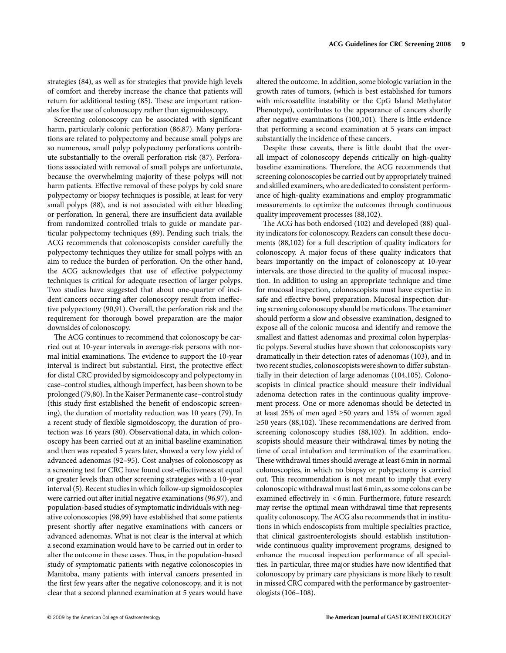strategies (84), as well as for strategies that provide high levels of comfort and thereby increase the chance that patients will return for additional testing (85). These are important rationales for the use of colonoscopy rather than sigmoidoscopy.

Screening colonoscopy can be associated with significant harm, particularly colonic perforation (86,87). Many perforations are related to polypectomy and because small polyps are so numerous, small polyp polypectomy perforations contribute substantially to the overall perforation risk (87) . Perforations associated with removal of small polyps are unfortunate, because the overwhelming majority of these polyps will not harm patients. Effective removal of these polyps by cold snare polypectomy or biopsy techniques is possible, at least for very small polyps (88), and is not associated with either bleeding or perforation. In general, there are insufficient data available from randomized controlled trials to guide or mandate particular polypectomy techniques (89) . Pending such trials, the ACG recommends that colonoscopists consider carefully the polypectomy techniques they utilize for small polyps with an aim to reduce the burden of perforation. On the other hand, the ACG acknowledges that use of effective polypectomy techniques is critical for adequate resection of larger polyps. Two studies have suggested that about one-quarter of incident cancers occurring after colonoscopy result from ineffective polypectomy (90,91) . Overall, the perforation risk and the requirement for thorough bowel preparation are the major downsides of colonoscopy.

The ACG continues to recommend that colonoscopy be carried out at 10-year intervals in average-risk persons with normal initial examinations. The evidence to support the 10-year interval is indirect but substantial. First, the protective effect for distal CRC provided by sigmoidoscopy and polypectomy in case – control studies, although imperfect, has been shown to be prolonged (79,80). In the Kaiser Permanente case-control study (this study first established the benefit of endoscopic screening), the duration of mortality reduction was 10 years (79). In a recent study of flexible sigmoidoscopy, the duration of protection was 16 years (80). Observational data, in which colonoscopy has been carried out at an initial baseline examination and then was repeated 5 years later, showed a very low yield of advanced adenomas (92-95). Cost analyses of colonoscopy as a screening test for CRC have found cost-effectiveness at equal or greater levels than other screening strategies with a 10-year interval (5) . Recent studies in which follow-up sigmoidoscopies were carried out after initial negative examinations (96,97), and population-based studies of symptomatic individuals with negative colonoscopies (98,99) have established that some patients present shortly after negative examinations with cancers or advanced adenomas. What is not clear is the interval at which a second examination would have to be carried out in order to alter the outcome in these cases. Thus, in the population-based study of symptomatic patients with negative colonoscopies in Manitoba, many patients with interval cancers presented in the first few years after the negative colonoscopy, and it is not clear that a second planned examination at 5 years would have

altered the outcome. In addition, some biologic variation in the growth rates of tumors, (which is best established for tumors with microsatellite instability or the CpG Island Methylator Phenotype), contributes to the appearance of cancers shortly after negative examinations (100,101). There is little evidence that performing a second examination at 5 years can impact substantially the incidence of these cancers.

 Despite these caveats, there is little doubt that the overall impact of colonoscopy depends critically on high-quality baseline examinations. Therefore, the ACG recommends that screening colonoscopies be carried out by appropriately trained and skilled examiners, who are dedicated to consistent performance of high-quality examinations and employ programmatic measurements to optimize the outcomes through continuous quality improvement processes (88,102).

The ACG has both endorsed (102) and developed (88) quality indicators for colonoscopy. Readers can consult these documents (88,102) for a full description of quality indicators for colonoscopy. A major focus of these quality indicators that bears importantly on the impact of colonoscopy at 10-year intervals, are those directed to the quality of mucosal inspection. In addition to using an appropriate technique and time for mucosal inspection, colonoscopists must have expertise in safe and effective bowel preparation. Mucosal inspection during screening colonoscopy should be meticulous. The examiner should perform a slow and obsessive examination, designed to expose all of the colonic mucosa and identify and remove the smallest and flattest adenomas and proximal colon hyperplastic polyps. Several studies have shown that colonoscopists vary dramatically in their detection rates of adenomas (103) , and in two recent studies, colonoscopists were shown to differ substantially in their detection of large adenomas (104,105). Colonoscopists in clinical practice should measure their individual adenoma detection rates in the continuous quality improvement process. One or more adenomas should be detected in at least 25% of men aged  $\geq 50$  years and 15% of women aged ≥50 years (88,102). These recommendations are derived from screening colonoscopy studies (88,102). In addition, endoscopists should measure their withdrawal times by noting the time of cecal intubation and termination of the examination. These withdrawal times should average at least 6 min in normal colonoscopies, in which no biopsy or polypectomy is carried out. This recommendation is not meant to imply that every colonoscopic withdrawal must last 6 min, as some colons can be examined effectively in <6 min. Furthermore, future research may revise the optimal mean withdrawal time that represents quality colonoscopy. The ACG also recommends that in institutions in which endoscopists from multiple specialties practice, that clinical gastroenterologists should establish institutionwide continuous quality improvement programs, designed to enhance the mucosal inspection performance of all specialties. In particular, three major studies have now identified that colonoscopy by primary care physicians is more likely to result in missed CRC compared with the performance by gastroenterologists (106–108).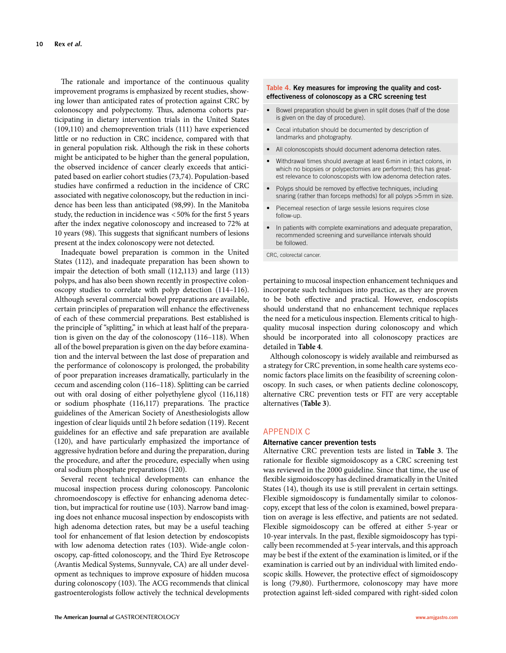The rationale and importance of the continuous quality improvement programs is emphasized by recent studies, showing lower than anticipated rates of protection against CRC by colonoscopy and polypectomy. Thus, adenoma cohorts participating in dietary intervention trials in the United States (109,110) and chemoprevention trials (111) have experienced little or no reduction in CRC incidence, compared with that in general population risk. Although the risk in these cohorts might be anticipated to be higher than the general population, the observed incidence of cancer clearly exceeds that anticipated based on earlier cohort studies (73,74) . Population-based studies have confirmed a reduction in the incidence of CRC associated with negative colonoscopy, but the reduction in incidence has been less than anticipated (98,99). In the Manitoba study, the reduction in incidence was  $<$  50% for the first 5 years after the index negative colonoscopy and increased to 72% at 10 years (98). This suggests that significant numbers of lesions present at the index colonoscopy were not detected.

 Inadequate bowel preparation is common in the United States (112), and inadequate preparation has been shown to impair the detection of both small (112,113) and large (113) polyps, and has also been shown recently in prospective colonoscopy studies to correlate with polyp detection (114-116). Although several commercial bowel preparations are available, certain principles of preparation will enhance the effectiveness of each of these commercial preparations. Best established is the principle of "splitting," in which at least half of the preparation is given on the day of the colonoscopy (116-118). When all of the bowel preparation is given on the day before examination and the interval between the last dose of preparation and the performance of colonoscopy is prolonged, the probability of poor preparation increases dramatically, particularly in the cecum and ascending colon (116 – 118) . Splitting can be carried out with oral dosing of either polyethylene glycol (116,118) or sodium phosphate (116,117) preparations. The practice guidelines of the American Society of Anesthesiologists allow ingestion of clear liquids until 2 h before sedation (119) . Recent guidelines for an effective and safe preparation are available (120), and have particularly emphasized the importance of aggressive hydration before and during the preparation, during the procedure, and after the procedure, especially when using oral sodium phosphate preparations (120) .

 Several recent technical developments can enhance the mucosal inspection process during colonoscopy. Pancolonic chromoendoscopy is effective for enhancing adenoma detection, but impractical for routine use (103). Narrow band imaging does not enhance mucosal inspection by endoscopists with high adenoma detection rates, but may be a useful teaching tool for enhancement of flat lesion detection by endoscopists with low adenoma detection rates (103). Wide-angle colonoscopy, cap-fitted colonoscopy, and the Third Eye Retroscope (Avantis Medical Systems, Sunnyvale, CA) are all under development as techniques to improve exposure of hidden mucosa during colonoscopy (103). The ACG recommends that clinical gastroenterologists follow actively the technical developments

## **Table 4 . Key measures for improving the quality and costeffectiveness of colonoscopy as a CRC screening test**

- Bowel preparation should be given in split doses (half of the dose is given on the day of procedure).
- Cecal intubation should be documented by description of landmarks and photography.
- All colonoscopists should document adenoma detection rates.
- Withdrawal times should average at least 6 min in intact colons, in which no biopsies or polypectomies are performed; this has greatest relevance to colonoscopists with low adenoma detection rates.
- Polyps should be removed by effective techniques, including snaring (rather than forceps methods) for all polyps >5 mm in size.
- Piecemeal resection of large sessile lesions requires close follow-up.
- In patients with complete examinations and adequate preparation, recommended screening and surveillance intervals should be followed.

CRC, colorectal cancer.

pertaining to mucosal inspection enhancement techniques and incorporate such techniques into practice, as they are proven to be both effective and practical. However, endoscopists should understand that no enhancement technique replaces the need for a meticulous inspection. Elements critical to highquality mucosal inspection during colonoscopy and which should be incorporated into all colonoscopy practices are detailed in **Table 4** .

 Although colonoscopy is widely available and reimbursed as a strategy for CRC prevention, in some health care systems economic factors place limits on the feasibility of screening colonoscopy. In such cases, or when patients decline colonoscopy, alternative CRC prevention tests or FIT are very acceptable alternatives ( **Table 3** ).

### APPENDIX C

#### **Alternative cancer prevention tests**

Alternative CRC prevention tests are listed in Table 3. The rationale for flexible sigmoidoscopy as a CRC screening test was reviewed in the 2000 guideline. Since that time, the use of flexible sigmoidoscopy has declined dramatically in the United States (14), though its use is still prevalent in certain settings. Flexible sigmoidoscopy is fundamentally similar to colonoscopy, except that less of the colon is examined, bowel preparation on average is less effective, and patients are not sedated. Flexible sigmoidoscopy can be offered at either 5-year or 10-year intervals. In the past, flexible sigmoidoscopy has typically been recommended at 5-year intervals, and this approach may be best if the extent of the examination is limited, or if the examination is carried out by an individual with limited endoscopic skills. However, the protective effect of sigmoidoscopy is long (79,80). Furthermore, colonoscopy may have more protection against left-sided compared with right-sided colon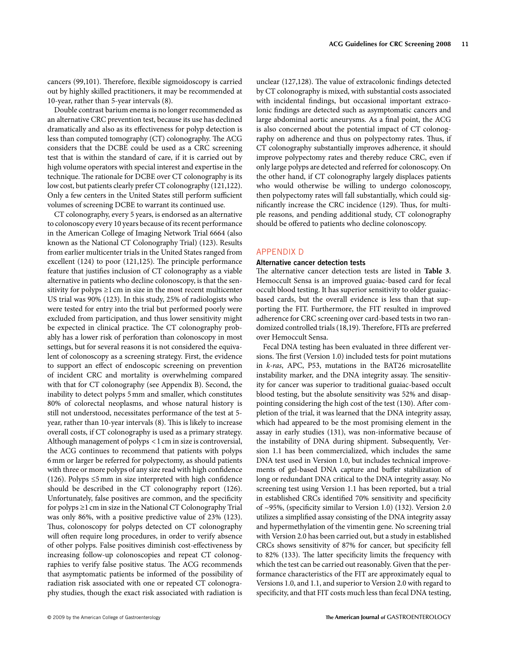cancers (99,101). Therefore, flexible sigmoidoscopy is carried out by highly skilled practitioners, it may be recommended at 10-year, rather than 5-year intervals (8) .

 Double contrast barium enema is no longer recommended as an alternative CRC prevention test, because its use has declined dramatically and also as its effectiveness for polyp detection is less than computed tomography (CT) colonography. The ACG considers that the DCBE could be used as a CRC screening test that is within the standard of care, if it is carried out by high volume operators with special interest and expertise in the technique. The rationale for DCBE over CT colonography is its low cost, but patients clearly prefer CT colonography (121,122) . Only a few centers in the United States still perform sufficient volumes of screening DCBE to warrant its continued use.

 CT colonography, every 5 years, is endorsed as an alternative to colonoscopy every 10 years because of its recent performance in the American College of Imaging Network Trial 6664 (also known as the National CT Colonography Trial) (123) . Results from earlier multicenter trials in the United States ranged from excellent (124) to poor (121,125). The principle performance feature that justifies inclusion of CT colonography as a viable alternative in patients who decline colonoscopy, is that the sensitivity for polyps  $\geq 1$  cm in size in the most recent multicenter US trial was 90% (123). In this study, 25% of radiologists who were tested for entry into the trial but performed poorly were excluded from participation, and thus lower sensitivity might be expected in clinical practice. The CT colonography probably has a lower risk of perforation than colonoscopy in most settings, but for several reasons it is not considered the equivalent of colonoscopy as a screening strategy. First, the evidence to support an effect of endoscopic screening on prevention of incident CRC and mortality is overwhelming compared with that for CT colonography (see Appendix B). Second, the inability to detect polyps 5 mm and smaller, which constitutes 80% of colorectal neoplasms, and whose natural history is still not understood, necessitates performance of the test at 5 year, rather than 10-year intervals (8). This is likely to increase overall costs, if CT colonography is used as a primary strategy. Although management of polyps < 1 cm in size is controversial, the ACG continues to recommend that patients with polyps 6 mm or larger be referred for polypectomy, as should patients with three or more polyps of any size read with high confidence (126). Polyps  $\leq$ 5 mm in size interpreted with high confidence should be described in the CT colonography report (126). Unfortunately, false positives are common, and the specificity for polyps ≥ 1 cm in size in the National CT Colonography Trial was only 86%, with a positive predictive value of 23% (123). Thus, colonoscopy for polyps detected on CT colonography will often require long procedures, in order to verify absence of other polyps. False positives diminish cost-effectiveness by increasing follow-up colonoscopies and repeat CT colonographies to verify false positive status. The ACG recommends that asymptomatic patients be informed of the possibility of radiation risk associated with one or repeated CT colonography studies, though the exact risk associated with radiation is

unclear (127,128). The value of extracolonic findings detected by CT colonography is mixed, with substantial costs associated with incidental findings, but occasional important extracolonic findings are detected such as asymptomatic cancers and large abdominal aortic aneurysms. As a final point, the ACG is also concerned about the potential impact of CT colonography on adherence and thus on polypectomy rates. Thus, if CT colonography substantially improves adherence, it should improve polypectomy rates and thereby reduce CRC, even if only large polyps are detected and referred for colonoscopy. On the other hand, if CT colonography largely displaces patients who would otherwise be willing to undergo colonoscopy, then polypectomy rates will fall substantially, which could significantly increase the CRC incidence (129). Thus, for multiple reasons, and pending additional study, CT colonography should be offered to patients who decline colonoscopy.

# APPENDIX D

### **Alternative cancer detection tests**

The alternative cancer detection tests are listed in **Table 3**. Hemoccult Sensa is an improved guaiac-based card for fecal occult blood testing. It has superior sensitivity to older guaiacbased cards, but the overall evidence is less than that supporting the FIT. Furthermore, the FIT resulted in improved adherence for CRC screening over card-based tests in two randomized controlled trials (18,19). Therefore, FITs are preferred over Hemoccult Sensa.

Fecal DNA testing has been evaluated in three different versions. The first (Version 1.0) included tests for point mutations in *k-ras*, APC, P53, mutations in the BAT26 microsatellite instability marker, and the DNA integrity assay. The sensitivity for cancer was superior to traditional guaiac-based occult blood testing, but the absolute sensitivity was 52% and disappointing considering the high cost of the test (130). After completion of the trial, it was learned that the DNA integrity assay, which had appeared to be the most promising element in the assay in early studies (131), was non-informative because of the instability of DNA during shipment. Subsequently, Version 1.1 has been commercialized, which includes the same DNA test used in Version 1.0, but includes technical improvements of gel-based DNA capture and buffer stabilization of long or redundant DNA critical to the DNA integrity assay. No screening test using Version 1.1 has been reported, but a trial in established CRCs identified 70% sensitivity and specificity of ~95%, (specificity similar to Version 1.0) (132). Version 2.0 utilizes a simplified assay consisting of the DNA integrity assay and hypermethylation of the vimentin gene. No screening trial with Version 2.0 has been carried out, but a study in established CRCs shows sensitivity of 87% for cancer, but specificity fell to 82% (133). The latter specificity limits the frequency with which the test can be carried out reasonably. Given that the performance characteristics of the FIT are approximately equal to Versions 1.0, and 1.1, and superior to Version 2.0 with regard to specificity, and that FIT costs much less than fecal DNA testing,